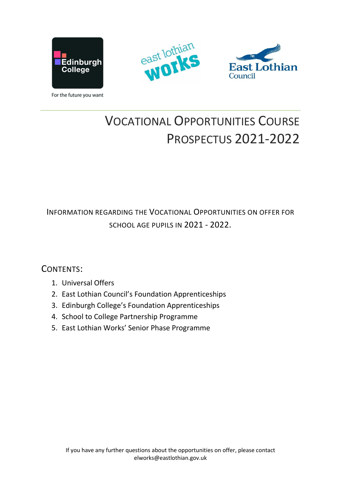





For the future you want

# VOCATIONAL OPPORTUNITIES COURSE PROSPECTUS 2021-2022

INFORMATION REGARDING THE VOCATIONAL OPPORTUNITIES ON OFFER FOR SCHOOL AGE PUPILS IN 2021 - 2022.

## CONTENTS:

- 1. Universal Offers
- 2. East Lothian Council's Foundation Apprenticeships
- 3. Edinburgh College's Foundation Apprenticeships
- 4. School to College Partnership Programme
- 5. East Lothian Works' Senior Phase Programme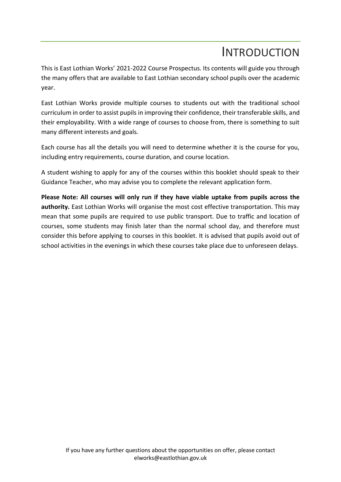## INTRODUCTION

This is East Lothian Works' 2021-2022 Course Prospectus. Its contents will guide you through the many offers that are available to East Lothian secondary school pupils over the academic year.

East Lothian Works provide multiple courses to students out with the traditional school curriculum in order to assist pupils in improving their confidence, their transferable skills, and their employability. With a wide range of courses to choose from, there is something to suit many different interests and goals.

Each course has all the details you will need to determine whether it is the course for you, including entry requirements, course duration, and course location.

A student wishing to apply for any of the courses within this booklet should speak to their Guidance Teacher, who may advise you to complete the relevant application form.

**Please Note: All courses will only run if they have viable uptake from pupils across the authority.** East Lothian Works will organise the most cost effective transportation. This may mean that some pupils are required to use public transport. Due to traffic and location of courses, some students may finish later than the normal school day, and therefore must consider this before applying to courses in this booklet. It is advised that pupils avoid out of school activities in the evenings in which these courses take place due to unforeseen delays.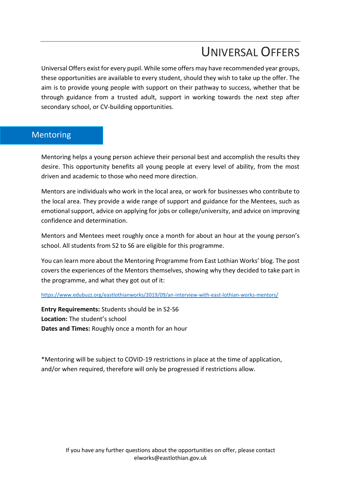# UNIVERSAL OFFERS

Universal Offers exist for every pupil. While some offers may have recommended year groups, these opportunities are available to every student, should they wish to take up the offer. The aim is to provide young people with support on their pathway to success, whether that be through guidance from a trusted adult, support in working towards the next step after secondary school, or CV-building opportunities.

#### Mentoring

Mentoring helps a young person achieve their personal best and accomplish the results they desire. This opportunity benefits all young people at every level of ability, from the most driven and academic to those who need more direction.

Mentors are individuals who work in the local area, or work for businesses who contribute to the local area. They provide a wide range of support and guidance for the Mentees, such as emotional support, advice on applying for jobs or college/university, and advice on improving confidence and determination.

Mentors and Mentees meet roughly once a month for about an hour at the young person's school. All students from S2 to S6 are eligible for this programme.

You can learn more about the Mentoring Programme from East Lothian Works' blog. The post covers the experiences of the Mentors themselves, showing why they decided to take part in the programme, and what they got out of it:

<https://www.edubuzz.org/eastlothianworks/2019/09/an-interview-with-east-lothian-works-mentors/>

**Entry Requirements:** Students should be in S2-S6 **Location:** The student's school **Dates and Times:** Roughly once a month for an hour

\*Mentoring will be subject to COVID-19 restrictions in place at the time of application, and/or when required, therefore will only be progressed if restrictions allow.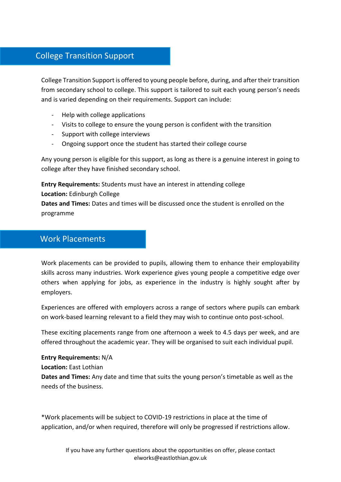## College Transition Support

College Transition Support is offered to young people before, during, and after their transition from secondary school to college. This support is tailored to suit each young person's needs and is varied depending on their requirements. Support can include:

- Help with college applications
- Visits to college to ensure the young person is confident with the transition
- Support with college interviews
- Ongoing support once the student has started their college course

Any young person is eligible for this support, as long as there is a genuine interest in going to college after they have finished secondary school.

**Entry Requirements:** Students must have an interest in attending college **Location:** Edinburgh College **Dates and Times:** Dates and times will be discussed once the student is enrolled on the programme

#### Work Placements

Work placements can be provided to pupils, allowing them to enhance their employability skills across many industries. Work experience gives young people a competitive edge over others when applying for jobs, as experience in the industry is highly sought after by employers.

Experiences are offered with employers across a range of sectors where pupils can embark on work-based learning relevant to a field they may wish to continue onto post-school.

These exciting placements range from one afternoon a week to 4.5 days per week, and are offered throughout the academic year. They will be organised to suit each individual pupil.

**Entry Requirements:** N/A **Location:** East Lothian **Dates and Times:** Any date and time that suits the young person's timetable as well as the needs of the business.

\*Work placements will be subject to COVID-19 restrictions in place at the time of application, and/or when required, therefore will only be progressed if restrictions allow.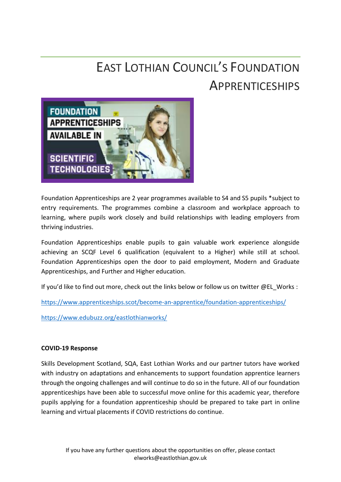# EAST LOTHIAN COUNCIL'S FOUNDATION **APPRENTICESHIPS**



Foundation Apprenticeships are 2 year programmes available to S4 and S5 pupils \*subject to entry requirements. The programmes combine a classroom and workplace approach to learning, where pupils work closely and build relationships with leading employers from thriving industries.

Foundation Apprenticeships enable pupils to gain valuable work experience alongside achieving an SCQF Level 6 qualification (equivalent to a Higher) while still at school. Foundation Apprenticeships open the door to paid employment, Modern and Graduate Apprenticeships, and Further and Higher education.

If you'd like to find out more, check out the links below or follow us on twitter @EL\_Works :

<https://www.apprenticeships.scot/become-an-apprentice/foundation-apprenticeships/>

<https://www.edubuzz.org/eastlothianworks/>

#### **COVID-19 Response**

Skills Development Scotland, SQA, East Lothian Works and our partner tutors have worked with industry on adaptations and enhancements to support foundation apprentice learners through the ongoing challenges and will continue to do so in the future. All of our foundation apprenticeships have been able to successful move online for this academic year, therefore pupils applying for a foundation apprenticeship should be prepared to take part in online learning and virtual placements if COVID restrictions do continue.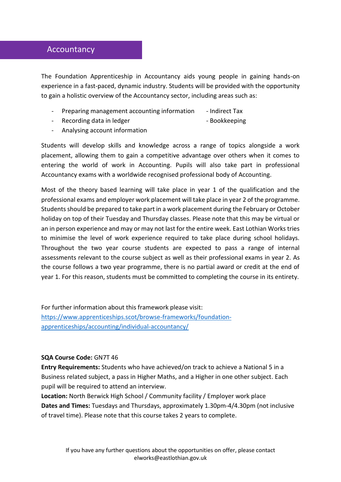#### Accountancy

The Foundation Apprenticeship in Accountancy aids young people in gaining hands-on experience in a fast-paced, dynamic industry. Students will be provided with the opportunity to gain a holistic overview of the Accountancy sector, including areas such as:

- Preparing management accounting information Indirect Tax
- Recording data in ledger **Recording data in ledger**  $\qquad -$  Bookkeeping
- Analysing account information

Students will develop skills and knowledge across a range of topics alongside a work placement, allowing them to gain a competitive advantage over others when it comes to entering the world of work in Accounting. Pupils will also take part in professional Accountancy exams with a worldwide recognised professional body of Accounting.

Most of the theory based learning will take place in year 1 of the qualification and the professional exams and employer work placement will take place in year 2 of the programme. Students should be prepared to take part in a work placement during the February or October holiday on top of their Tuesday and Thursday classes. Please note that this may be virtual or an in person experience and may or may not last for the entire week. East Lothian Works tries to minimise the level of work experience required to take place during school holidays. Throughout the two year course students are expected to pass a range of internal assessments relevant to the course subject as well as their professional exams in year 2. As the course follows a two year programme, there is no partial award or credit at the end of year 1. For this reason, students must be committed to completing the course in its entirety.

For further information about this framework please visit: [https://www.apprenticeships.scot/browse-frameworks/foundation](https://www.apprenticeships.scot/browse-frameworks/foundation-apprenticeships/accounting/individual-accountancy/)[apprenticeships/accounting/individual-accountancy/](https://www.apprenticeships.scot/browse-frameworks/foundation-apprenticeships/accounting/individual-accountancy/)

#### **SQA Course Code:** GN7T 46

**Entry Requirements:** Students who have achieved/on track to achieve a National 5 in a Business related subject, a pass in Higher Maths, and a Higher in one other subject. Each pupil will be required to attend an interview.

**Location:** North Berwick High School / Community facility / Employer work place **Dates and Times:** Tuesdays and Thursdays, approximately 1.30pm-4/4.30pm (not inclusive of travel time). Please note that this course takes 2 years to complete.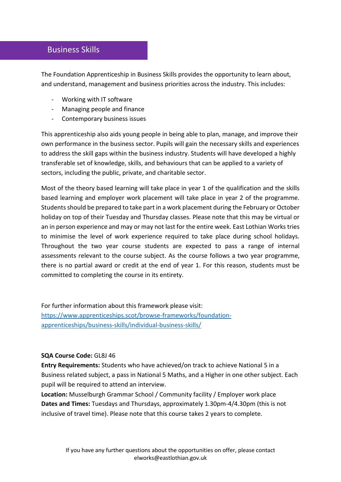#### Business Skills

The Foundation Apprenticeship in Business Skills provides the opportunity to learn about, and understand, management and business priorities across the industry. This includes:

- Working with IT software
- Managing people and finance
- Contemporary business issues

This apprenticeship also aids young people in being able to plan, manage, and improve their own performance in the business sector. Pupils will gain the necessary skills and experiences to address the skill gaps within the business industry. Students will have developed a highly transferable set of knowledge, skills, and behaviours that can be applied to a variety of sectors, including the public, private, and charitable sector.

Most of the theory based learning will take place in year 1 of the qualification and the skills based learning and employer work placement will take place in year 2 of the programme. Students should be prepared to take part in a work placement during the February or October holiday on top of their Tuesday and Thursday classes. Please note that this may be virtual or an in person experience and may or may not last for the entire week. East Lothian Works tries to minimise the level of work experience required to take place during school holidays. Throughout the two year course students are expected to pass a range of internal assessments relevant to the course subject. As the course follows a two year programme, there is no partial award or credit at the end of year 1. For this reason, students must be committed to completing the course in its entirety.

For further information about this framework please visit: [https://www.apprenticeships.scot/browse-frameworks/foundation](https://www.apprenticeships.scot/browse-frameworks/foundation-apprenticeships/business-skills/individual-business-skills/)[apprenticeships/business-skills/individual-business-skills/](https://www.apprenticeships.scot/browse-frameworks/foundation-apprenticeships/business-skills/individual-business-skills/)

#### **SQA Course Code:** GL8J 46

**Entry Requirements:** Students who have achieved/on track to achieve National 5 in a Business related subject, a pass in National 5 Maths, and a Higher in one other subject. Each pupil will be required to attend an interview.

**Location:** Musselburgh Grammar School / Community facility / Employer work place **Dates and Times:** Tuesdays and Thursdays, approximately 1.30pm-4/4.30pm (this is not inclusive of travel time). Please note that this course takes 2 years to complete.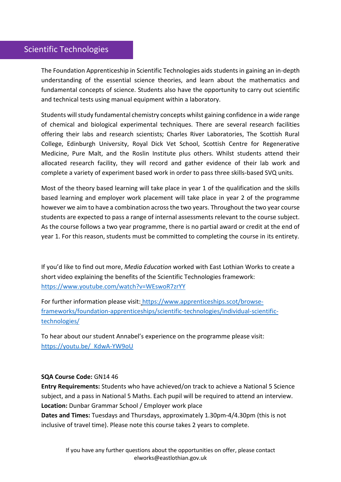## Scientific Technologies

The Foundation Apprenticeship in Scientific Technologies aids students in gaining an in-depth understanding of the essential science theories, and learn about the mathematics and fundamental concepts of science. Students also have the opportunity to carry out scientific and technical tests using manual equipment within a laboratory.

Students will study fundamental chemistry concepts whilst gaining confidence in a wide range of chemical and biological experimental techniques. There are several research facilities offering their labs and research scientists; Charles River Laboratories, The Scottish Rural College, Edinburgh University, Royal Dick Vet School, Scottish Centre for Regenerative Medicine, Pure Malt, and the Roslin Institute plus others. Whilst students attend their allocated research facility, they will record and gather evidence of their lab work and complete a variety of experiment based work in order to pass three skills-based SVQ units.

Most of the theory based learning will take place in year 1 of the qualification and the skills based learning and employer work placement will take place in year 2 of the programme however we aim to have a combination across the two years. Throughout the two year course students are expected to pass a range of internal assessments relevant to the course subject. As the course follows a two year programme, there is no partial award or credit at the end of year 1. For this reason, students must be committed to completing the course in its entirety.

If you'd like to find out more, *Media Education* worked with East Lothian Works to create a short video explaining the benefits of the Scientific Technologies framework: <https://www.youtube.com/watch?v=WEswoR7zrYY>

For further information please visit: [https://www.apprenticeships.scot/browse](https://www.apprenticeships.scot/browse-frameworks/foundation-apprenticeships/scientific-technologies/individual-scientific-technologies/)[frameworks/foundation-apprenticeships/scientific-technologies/individual-scientific](https://www.apprenticeships.scot/browse-frameworks/foundation-apprenticeships/scientific-technologies/individual-scientific-technologies/)[technologies/](https://www.apprenticeships.scot/browse-frameworks/foundation-apprenticeships/scientific-technologies/individual-scientific-technologies/)

To hear about our student Annabel's experience on the programme please visit: [https://youtu.be/\\_KdwA-YW9oU](https://youtu.be/_KdwA-YW9oU)

#### **SQA Course Code:** GN14 46

**Entry Requirements:** Students who have achieved/on track to achieve a National 5 Science subject, and a pass in National 5 Maths. Each pupil will be required to attend an interview. **Location:** Dunbar Grammar School / Employer work place

**Dates and Times:** Tuesdays and Thursdays, approximately 1.30pm-4/4.30pm (this is not inclusive of travel time). Please note this course takes 2 years to complete.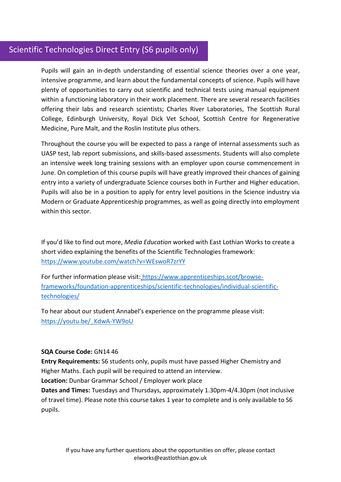## Scientific Technologies Direct Entry (S6 pupils only)

Pupils will gain an in-depth understanding of essential science theories over a one year, intensive programme, and learn about the fundamental concepts of science. Pupils will have plenty of opportunities to carry out scientific and technical tests using manual equipment within a functioning laboratory in their work placement. There are several research facilities offering their labs and research scientists; Charles River Laboratories, The Scottish Rural College, Edinburgh University, Royal Dick Vet School, Scottish Centre for Regenerative Medicine, Pure Malt, and the Roslin Institute plus others.

Throughout the course you will be expected to pass a range of internal assessments such as UASP test, lab report submissions, and skills-based assessments. Students will also complete an intensive week long training sessions with an employer upon course commencement in June. On completion of this course pupils will have greatly improved their chances of gaining entry into a variety of undergraduate Science courses both in Further and Higher education. Pupils will also be in a position to apply for entry level positions in the Science industry via Modern or Graduate Apprenticeship programmes, as well as going directly into employment within this sector.

If you'd like to find out more, *Media Education* worked with East Lothian Works to create a short video explaining the benefits of the Scientific Technologies framework: <https://www.youtube.com/watch?v=WEswoR7zrYY>

For further information please visit: [https://www.apprenticeships.scot/browse](https://www.apprenticeships.scot/browse-frameworks/foundation-apprenticeships/scientific-technologies/individual-scientific-technologies/)[frameworks/foundation-apprenticeships/scientific-technologies/individual-scientific](https://www.apprenticeships.scot/browse-frameworks/foundation-apprenticeships/scientific-technologies/individual-scientific-technologies/)[technologies/](https://www.apprenticeships.scot/browse-frameworks/foundation-apprenticeships/scientific-technologies/individual-scientific-technologies/)

To hear about our student Annabel's experience on the programme please visit: https://youtu.be/ KdwA-YW9oU

#### **SQA Course Code:** GN14 46

**Entry Requirements:** S6 students only, pupils must have passed Higher Chemistry and Higher Maths. Each pupil will be required to attend an interview.

**Location:** Dunbar Grammar School / Employer work place

**Dates and Times:** Tuesdays and Thursdays, approximately 1.30pm-4/4.30pm (not inclusive of travel time). Please note this course takes 1 year to complete and is only available to S6 pupils.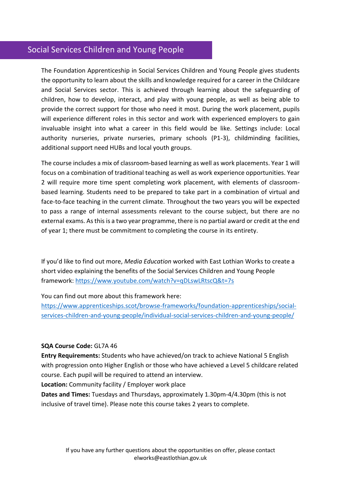## Social Services Children and Young People

The Foundation Apprenticeship in Social Services Children and Young People gives students the opportunity to learn about the skills and knowledge required for a career in the Childcare and Social Services sector. This is achieved through learning about the safeguarding of children, how to develop, interact, and play with young people, as well as being able to provide the correct support for those who need it most. During the work placement, pupils will experience different roles in this sector and work with experienced employers to gain invaluable insight into what a career in this field would be like. Settings include: Local authority nurseries, private nurseries, primary schools (P1-3), childminding facilities, additional support need HUBs and local youth groups.

The course includes a mix of classroom-based learning as well as work placements. Year 1 will focus on a combination of traditional teaching as well as work experience opportunities. Year 2 will require more time spent completing work placement, with elements of classroombased learning. Students need to be prepared to take part in a combination of virtual and face-to-face teaching in the current climate. Throughout the two years you will be expected to pass a range of internal assessments relevant to the course subject, but there are no external exams. As this is a two year programme, there is no partial award or credit at the end of year 1; there must be commitment to completing the course in its entirety.

If you'd like to find out more, *Media Education* worked with East Lothian Works to create a short video explaining the benefits of the Social Services Children and Young People framework:<https://www.youtube.com/watch?v=qDLswLRtscQ&t=7s>

You can find out more about this framework here:

[https://www.apprenticeships.scot/browse-frameworks/foundation-apprenticeships/social](https://www.apprenticeships.scot/browse-frameworks/foundation-apprenticeships/social-services-children-and-young-people/individual-social-services-children-and-young-people/)[services-children-and-young-people/individual-social-services-children-and-young-people/](https://www.apprenticeships.scot/browse-frameworks/foundation-apprenticeships/social-services-children-and-young-people/individual-social-services-children-and-young-people/)

#### **SQA Course Code:** GL7A 46

**Entry Requirements:** Students who have achieved/on track to achieve National 5 English with progression onto Higher English or those who have achieved a Level 5 childcare related course. Each pupil will be required to attend an interview.

**Location:** Community facility / Employer work place

**Dates and Times:** Tuesdays and Thursdays, approximately 1.30pm-4/4.30pm (this is not inclusive of travel time). Please note this course takes 2 years to complete.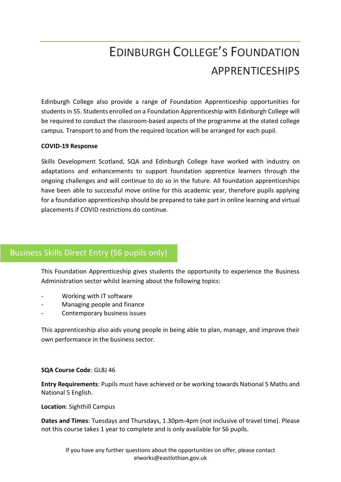# EDINBURGH COLLEGE'S FOUNDATION APPRENTICESHIPS

Edinburgh College also provide a range of Foundation Apprenticeship opportunities for students in S5. Students enrolled on a Foundation Apprenticeship with Edinburgh College will be required to conduct the classroom-based aspects of the programme at the stated college campus. Transport to and from the required location will be arranged for each pupil.

#### **COVID-19 Response**

Skills Development Scotland, SQA and Edinburgh College have worked with industry on adaptations and enhancements to support foundation apprentice learners through the ongoing challenges and will continue to do so in the future. All foundation apprenticeships have been able to successful move online for this academic year, therefore pupils applying for a foundation apprenticeship should be prepared to take part in online learning and virtual placements if COVID restrictions do continue.

## Business Skills Direct Entry (S6 pupils only)

This Foundation Apprenticeship gives students the opportunity to experience the Business Administration sector whilst learning about the following topics:

- Working with IT software
- Managing people and finance
- Contemporary business issues

This apprenticeship also aids young people in being able to plan, manage, and improve their own performance in the business sector.

#### **SQA Course Code**: GL8J 46

**Entry Requirements**: Pupils must have achieved or be working towards National 5 Maths and National 5 English.

**Location**: Sighthill Campus

**Dates and Times**: Tuesdays and Thursdays, 1.30pm-4pm (not inclusive of travel time). Please not this course takes 1 year to complete and is only available for S6 pupils.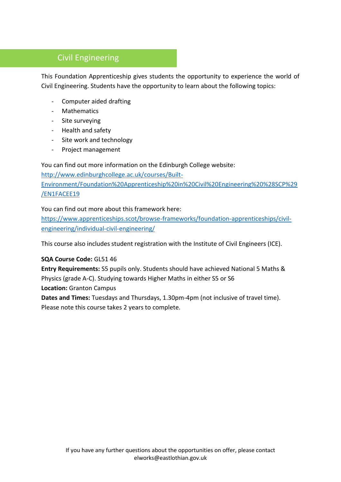## Civil Engineering

This Foundation Apprenticeship gives students the opportunity to experience the world of Civil Engineering. Students have the opportunity to learn about the following topics:

- Computer aided drafting
- Mathematics
- Site surveying
- Health and safety
- Site work and technology
- Project management

You can find out more information on the Edinburgh College website:

[http://www.edinburghcollege.ac.uk/courses/Built-](http://www.edinburghcollege.ac.uk/courses/Built-Environment/Foundation%20Apprenticeship%20in%20Civil%20Engineering%20%28SCP%29/EN1FACEE19)[Environment/Foundation%20Apprenticeship%20in%20Civil%20Engineering%20%28SCP%29](http://www.edinburghcollege.ac.uk/courses/Built-Environment/Foundation%20Apprenticeship%20in%20Civil%20Engineering%20%28SCP%29/EN1FACEE19) [/EN1FACEE19](http://www.edinburghcollege.ac.uk/courses/Built-Environment/Foundation%20Apprenticeship%20in%20Civil%20Engineering%20%28SCP%29/EN1FACEE19)

#### You can find out more about this framework here:

[https://www.apprenticeships.scot/browse-frameworks/foundation-apprenticeships/civil](https://www.apprenticeships.scot/browse-frameworks/foundation-apprenticeships/civil-engineering/individual-civil-engineering/)[engineering/individual-civil-engineering/](https://www.apprenticeships.scot/browse-frameworks/foundation-apprenticeships/civil-engineering/individual-civil-engineering/)

This course also includes student registration with the Institute of Civil Engineers (ICE).

#### **SQA Course Code:** GL51 46

**Entry Requirements:** S5 pupils only. Students should have achieved National 5 Maths & Physics (grade A-C). Studying towards Higher Maths in either S5 or S6 **Location:** Granton Campus

**Dates and Times:** Tuesdays and Thursdays, 1.30pm-4pm (not inclusive of travel time). Please note this course takes 2 years to complete.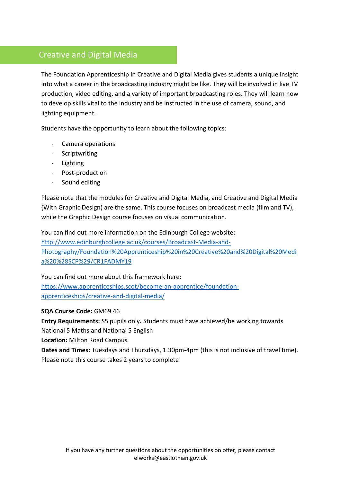## Creative and Digital Media

The Foundation Apprenticeship in Creative and Digital Media gives students a unique insight into what a career in the broadcasting industry might be like. They will be involved in live TV production, video editing, and a variety of important broadcasting roles. They will learn how to develop skills vital to the industry and be instructed in the use of camera, sound, and lighting equipment.

Students have the opportunity to learn about the following topics:

- Camera operations
- Scriptwriting
- Lighting
- Post-production
- Sound editing

Please note that the modules for Creative and Digital Media, and Creative and Digital Media (With Graphic Design) are the same. This course focuses on broadcast media (film and TV), while the Graphic Design course focuses on visual communication.

You can find out more information on the Edinburgh College website: [http://www.edinburghcollege.ac.uk/courses/Broadcast-Media-and-](http://www.edinburghcollege.ac.uk/courses/Broadcast-Media-and-Photography/Foundation%20Apprenticeship%20in%20Creative%20and%20Digital%20Media%20%28SCP%29/CR1FADMY19)

[Photography/Foundation%20Apprenticeship%20in%20Creative%20and%20Digital%20Medi](http://www.edinburghcollege.ac.uk/courses/Broadcast-Media-and-Photography/Foundation%20Apprenticeship%20in%20Creative%20and%20Digital%20Media%20%28SCP%29/CR1FADMY19) [a%20%28SCP%29/CR1FADMY19](http://www.edinburghcollege.ac.uk/courses/Broadcast-Media-and-Photography/Foundation%20Apprenticeship%20in%20Creative%20and%20Digital%20Media%20%28SCP%29/CR1FADMY19)

You can find out more about this framework here:

[https://www.apprenticeships.scot/become-an-apprentice/foundation](https://www.apprenticeships.scot/become-an-apprentice/foundation-apprenticeships/creative-and-digital-media/)[apprenticeships/creative-and-digital-media/](https://www.apprenticeships.scot/become-an-apprentice/foundation-apprenticeships/creative-and-digital-media/)

#### **SQA Course Code:** GM69 46

**Entry Requirements:** S5 pupils only**.** Students must have achieved/be working towards National 5 Maths and National 5 English

**Location:** Milton Road Campus

**Dates and Times:** Tuesdays and Thursdays, 1.30pm-4pm (this is not inclusive of travel time). Please note this course takes 2 years to complete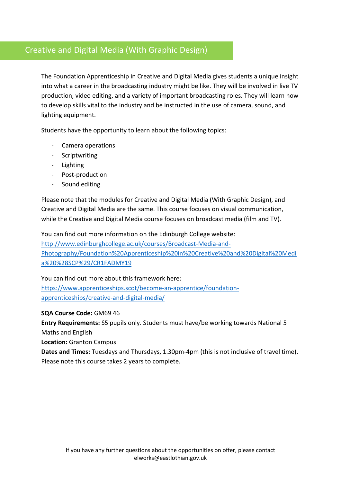## Creative and Digital Media (With Graphic Design)

The Foundation Apprenticeship in Creative and Digital Media gives students a unique insight into what a career in the broadcasting industry might be like. They will be involved in live TV production, video editing, and a variety of important broadcasting roles. They will learn how to develop skills vital to the industry and be instructed in the use of camera, sound, and lighting equipment.

Students have the opportunity to learn about the following topics:

- Camera operations
- Scriptwriting
- Lighting
- Post-production
- Sound editing

Please note that the modules for Creative and Digital Media (With Graphic Design), and Creative and Digital Media are the same. This course focuses on visual communication, while the Creative and Digital Media course focuses on broadcast media (film and TV).

You can find out more information on the Edinburgh College website:

[http://www.edinburghcollege.ac.uk/courses/Broadcast-Media-and-](http://www.edinburghcollege.ac.uk/courses/Broadcast-Media-and-Photography/Foundation%20Apprenticeship%20in%20Creative%20and%20Digital%20Media%20%28SCP%29/CR1FADMY19)[Photography/Foundation%20Apprenticeship%20in%20Creative%20and%20Digital%20Medi](http://www.edinburghcollege.ac.uk/courses/Broadcast-Media-and-Photography/Foundation%20Apprenticeship%20in%20Creative%20and%20Digital%20Media%20%28SCP%29/CR1FADMY19) [a%20%28SCP%29/CR1FADMY19](http://www.edinburghcollege.ac.uk/courses/Broadcast-Media-and-Photography/Foundation%20Apprenticeship%20in%20Creative%20and%20Digital%20Media%20%28SCP%29/CR1FADMY19)

You can find out more about this framework here:

[https://www.apprenticeships.scot/become-an-apprentice/foundation](https://www.apprenticeships.scot/become-an-apprentice/foundation-apprenticeships/creative-and-digital-media/)[apprenticeships/creative-and-digital-media/](https://www.apprenticeships.scot/become-an-apprentice/foundation-apprenticeships/creative-and-digital-media/)

#### **SQA Course Code:** GM69 46

**Entry Requirements:** S5 pupils only. Students must have/be working towards National 5 Maths and English

**Location:** Granton Campus

**Dates and Times:** Tuesdays and Thursdays, 1.30pm-4pm (this is not inclusive of travel time). Please note this course takes 2 years to complete.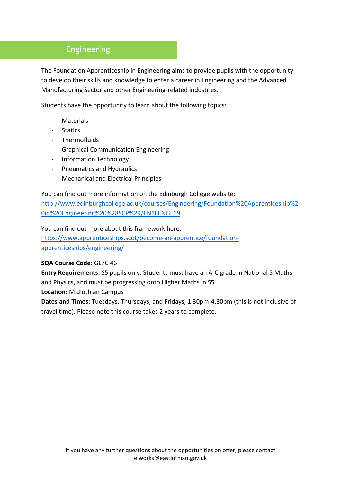## Engineering

The Foundation Apprenticeship in Engineering aims to provide pupils with the opportunity to develop their skills and knowledge to enter a career in Engineering and the Advanced Manufacturing Sector and other Engineering-related industries.

Students have the opportunity to learn about the following topics:

- **Materials**
- Statics
- Thermofluids
- Graphical Communication Engineering
- Information Technology
- Pneumatics and Hydraulics
- Mechanical and Electrical Principles

You can find out more information on the Edinburgh College website:

[http://www.edinburghcollege.ac.uk/courses/Engineering/Foundation%20Apprenticeship%2](http://www.edinburghcollege.ac.uk/courses/Engineering/Foundation%20Apprenticeship%20in%20Engineering%20%28SCP%29/EN1FENGE19) [0in%20Engineering%20%28SCP%29/EN1FENGE19](http://www.edinburghcollege.ac.uk/courses/Engineering/Foundation%20Apprenticeship%20in%20Engineering%20%28SCP%29/EN1FENGE19)

You can find out more about this framework here:

[https://www.apprenticeships.scot/become-an-apprentice/foundation](https://www.apprenticeships.scot/become-an-apprentice/foundation-apprenticeships/engineering/)[apprenticeships/engineering/](https://www.apprenticeships.scot/become-an-apprentice/foundation-apprenticeships/engineering/)

#### **SQA Course Code:** GL7C 46

**Entry Requirements:** S5 pupils only. Students must have an A-C grade in National 5 Maths and Physics, and must be progressing onto Higher Maths in S5

**Location:** Midlothian Campus

**Dates and Times:** Tuesdays, Thursdays, and Fridays, 1.30pm-4.30pm (this is not inclusive of travel time). Please note this course takes 2 years to complete.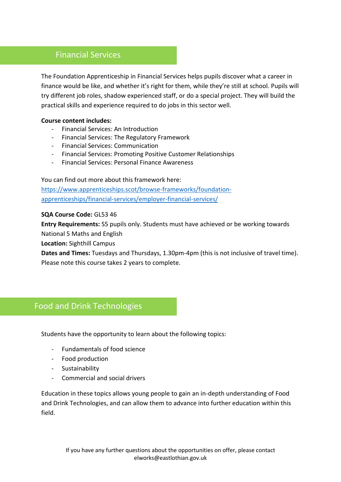#### Financial Services

The Foundation Apprenticeship in Financial Services helps pupils discover what a career in finance would be like, and whether it's right for them, while they're still at school. Pupils will try different job roles, shadow experienced staff, or do a special project. They will build the practical skills and experience required to do jobs in this sector well.

#### **Course content includes:**

- Financial Services: An Introduction
- Financial Services: The Regulatory Framework
- Financial Services: Communication
- Financial Services: Promoting Positive Customer Relationships
- Financial Services: Personal Finance Awareness

You can find out more about this framework here: [https://www.apprenticeships.scot/browse-frameworks/foundation](https://www.apprenticeships.scot/browse-frameworks/foundation-apprenticeships/financial-services/employer-financial-services/)[apprenticeships/financial-services/employer-financial-services/](https://www.apprenticeships.scot/browse-frameworks/foundation-apprenticeships/financial-services/employer-financial-services/)

#### **SQA Course Code:** GL53 46

**Entry Requirements:** S5 pupils only. Students must have achieved or be working towards

National 5 Maths and English

**Location:** Sighthill Campus

**Dates and Times:** Tuesdays and Thursdays, 1.30pm-4pm (this is not inclusive of travel time). Please note this course takes 2 years to complete.

#### Food and Drink Technologies

Students have the opportunity to learn about the following topics:

- Fundamentals of food science
- Food production
- Sustainability
- Commercial and social drivers

Education in these topics allows young people to gain an in-depth understanding of Food and Drink Technologies, and can allow them to advance into further education within this field.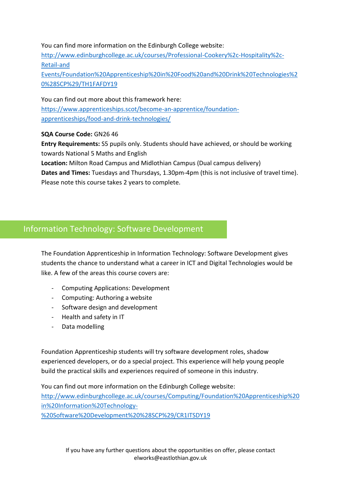#### You can find more information on the Edinburgh College website:

[http://www.edinburghcollege.ac.uk/courses/Professional-Cookery%2c-Hospitality%2c-](http://www.edinburghcollege.ac.uk/courses/Professional-Cookery%2c-Hospitality%2c-Retail-and%20Events/Foundation%20Apprenticeship%20in%20Food%20and%20Drink%20Technologies%20%28SCP%29/TH1FAFDY19)[Retail-and](http://www.edinburghcollege.ac.uk/courses/Professional-Cookery%2c-Hospitality%2c-Retail-and%20Events/Foundation%20Apprenticeship%20in%20Food%20and%20Drink%20Technologies%20%28SCP%29/TH1FAFDY19) 

[Events/Foundation%20Apprenticeship%20in%20Food%20and%20Drink%20Technologies%2](http://www.edinburghcollege.ac.uk/courses/Professional-Cookery%2c-Hospitality%2c-Retail-and%20Events/Foundation%20Apprenticeship%20in%20Food%20and%20Drink%20Technologies%20%28SCP%29/TH1FAFDY19) [0%28SCP%29/TH1FAFDY19](http://www.edinburghcollege.ac.uk/courses/Professional-Cookery%2c-Hospitality%2c-Retail-and%20Events/Foundation%20Apprenticeship%20in%20Food%20and%20Drink%20Technologies%20%28SCP%29/TH1FAFDY19)

You can find out more about this framework here: [https://www.apprenticeships.scot/become-an-apprentice/foundation](https://www.apprenticeships.scot/become-an-apprentice/foundation-apprenticeships/food-and-drink-technologies/)[apprenticeships/food-and-drink-technologies/](https://www.apprenticeships.scot/become-an-apprentice/foundation-apprenticeships/food-and-drink-technologies/)

**SQA Course Code:** GN26 46

**Entry Requirements:** S5 pupils only. Students should have achieved, or should be working towards National 5 Maths and English

**Location:** Milton Road Campus and Midlothian Campus (Dual campus delivery)

**Dates and Times:** Tuesdays and Thursdays, 1.30pm-4pm (this is not inclusive of travel time). Please note this course takes 2 years to complete.

## Information Technology: Software Development

The Foundation Apprenticeship in Information Technology: Software Development gives students the chance to understand what a career in ICT and Digital Technologies would be like. A few of the areas this course covers are:

- Computing Applications: Development
- Computing: Authoring a website
- Software design and development
- Health and safety in IT
- Data modelling

Foundation Apprenticeship students will try software development roles, shadow experienced developers, or do a special project. This experience will help young people build the practical skills and experiences required of someone in this industry.

You can find out more information on the Edinburgh College website:

[http://www.edinburghcollege.ac.uk/courses/Computing/Foundation%20Apprenticeship%20](http://www.edinburghcollege.ac.uk/courses/Computing/Foundation%20Apprenticeship%20in%20Information%20Technology-%20Software%20Development%20%28SCP%29/CR1ITSDY19) [in%20Information%20Technology-](http://www.edinburghcollege.ac.uk/courses/Computing/Foundation%20Apprenticeship%20in%20Information%20Technology-%20Software%20Development%20%28SCP%29/CR1ITSDY19)

[%20Software%20Development%20%28SCP%29/CR1ITSDY19](http://www.edinburghcollege.ac.uk/courses/Computing/Foundation%20Apprenticeship%20in%20Information%20Technology-%20Software%20Development%20%28SCP%29/CR1ITSDY19)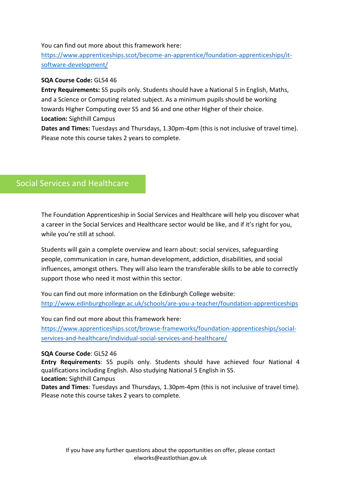#### You can find out more about this framework here:

[https://www.apprenticeships.scot/become-an-apprentice/foundation-apprenticeships/it](https://www.apprenticeships.scot/become-an-apprentice/foundation-apprenticeships/it-software-development/)[software-development/](https://www.apprenticeships.scot/become-an-apprentice/foundation-apprenticeships/it-software-development/)

#### **SQA Course Code:** GL54 46

**Entry Requirements:** S5 pupils only. Students should have a National 5 in English, Maths, and a Science or Computing related subject. As a minimum pupils should be working towards Higher Computing over S5 and S6 and one other Higher of their choice. **Location:** Sighthill Campus

**Dates and Times:** Tuesdays and Thursdays, 1.30pm-4pm (this is not inclusive of travel time). Please note this course takes 2 years to complete.

## Social Services and Healthcare

The Foundation Apprenticeship in Social Services and Healthcare will help you discover what a career in the Social Services and Healthcare sector would be like, and if it's right for you, while you're still at school.

Students will gain a complete overview and learn about: social services, safeguarding people, communication in care, human development, addiction, disabilities, and social influences, amongst others. They will also learn the transferable skills to be able to correctly support those who need it most within this sector.

You can find out more information on the Edinburgh College website: <http://www.edinburghcollege.ac.uk/schools/are-you-a-teacher/foundation-apprenticeships>

You can find out more about this framework here: [https://www.apprenticeships.scot/browse-frameworks/foundation-apprenticeships/social-](https://www.apprenticeships.scot/browse-frameworks/foundation-apprenticeships/social-services-and-healthcare/individual-social-services-and-healthcare/)

[services-and-healthcare/individual-social-services-and-healthcare/](https://www.apprenticeships.scot/browse-frameworks/foundation-apprenticeships/social-services-and-healthcare/individual-social-services-and-healthcare/)

#### **SQA Course Code**: GL52 46

**Entry Requirements**: S5 pupils only. Students should have achieved four National 4 qualifications including English. Also studying National 5 English in S5. **Location:** Sighthill Campus

**Dates and Times**: Tuesdays and Thursdays, 1.30pm-4pm (this is not inclusive of travel time). Please note this course takes 2 years to complete.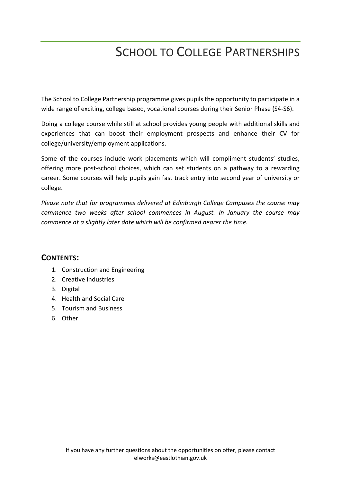# SCHOOL TO COLLEGE PARTNERSHIPS

The School to College Partnership programme gives pupils the opportunity to participate in a wide range of exciting, college based, vocational courses during their Senior Phase (S4-S6).

Doing a college course while still at school provides young people with additional skills and experiences that can boost their employment prospects and enhance their CV for college/university/employment applications.

Some of the courses include work placements which will compliment students' studies, offering more post-school choices, which can set students on a pathway to a rewarding career. Some courses will help pupils gain fast track entry into second year of university or college.

*Please note that for programmes delivered at Edinburgh College Campuses the course may commence two weeks after school commences in August. In January the course may commence at a slightly later date which will be confirmed nearer the time.*

#### **CONTENTS:**

- 1. Construction and Engineering
- 2. Creative Industries
- 3. Digital
- 4. Health and Social Care
- 5. Tourism and Business
- 6. Other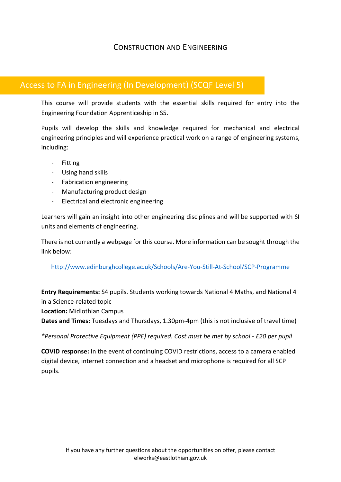#### CONSTRUCTION AND ENGINEERING

## Access to FA in Engineering (In Development) (SCQF Level 5)

This course will provide students with the essential skills required for entry into the Engineering Foundation Apprenticeship in S5.

Pupils will develop the skills and knowledge required for mechanical and electrical engineering principles and will experience practical work on a range of engineering systems, including:

- Fitting
- Using hand skills
- Fabrication engineering
- Manufacturing product design
- Electrical and electronic engineering

Learners will gain an insight into other engineering disciplines and will be supported with SI units and elements of engineering.

There is not currently a webpage for this course. More information can be sought through the link below:

<http://www.edinburghcollege.ac.uk/Schools/Are-You-Still-At-School/SCP-Programme>

**Entry Requirements:** S4 pupils. Students working towards National 4 Maths, and National 4 in a Science-related topic

**Location:** Midlothian Campus

**Dates and Times:** Tuesdays and Thursdays, 1.30pm-4pm (this is not inclusive of travel time)

*\*Personal Protective Equipment (PPE) required. Cost must be met by school - £20 per pupil*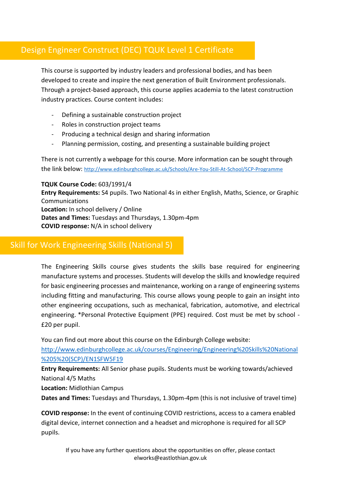## Design Engineer Construct (DEC) TQUK Level 1 Certificate

This course is supported by industry leaders and professional bodies, and has been developed to create and inspire the next generation of Built Environment professionals. Through a project-based approach, this course applies academia to the latest construction industry practices. Course content includes:

- Defining a sustainable construction project
- Roles in construction project teams
- Producing a technical design and sharing information
- Planning permission, costing, and presenting a sustainable building project

There is not currently a webpage for this course. More information can be sought through the link below: <http://www.edinburghcollege.ac.uk/Schools/Are-You-Still-At-School/SCP-Programme>

**TQUK Course Code:** 603/1991/4 **Entry Requirements:** S4 pupils. Two National 4s in either English, Maths, Science, or Graphic Communications **Location:** In school delivery / Online **Dates and Times:** Tuesdays and Thursdays, 1.30pm-4pm **COVID response:** N/A in school delivery

### Skill for Work Engineering Skills (National 5)

The Engineering Skills course gives students the skills base required for engineering manufacture systems and processes. Students will develop the skills and knowledge required for basic engineering processes and maintenance, working on a range of engineering systems including fitting and manufacturing. This course allows young people to gain an insight into other engineering occupations, such as mechanical, fabrication, automotive, and electrical engineering. \*Personal Protective Equipment (PPE) required. Cost must be met by school - £20 per pupil.

You can find out more about this course on the Edinburgh College website:

[http://www.edinburghcollege.ac.uk/courses/Engineering/Engineering%20Skills%20National](http://www.edinburghcollege.ac.uk/courses/Engineering/Engineering%20Skills%20National%205%20(SCP)/EN1SFW5F19) [%205%20\(SCP\)/EN1SFW5F19](http://www.edinburghcollege.ac.uk/courses/Engineering/Engineering%20Skills%20National%205%20(SCP)/EN1SFW5F19)

**Entry Requirements:** All Senior phase pupils. Students must be working towards/achieved National 4/5 Maths

**Location:** Midlothian Campus

**Dates and Times:** Tuesdays and Thursdays, 1.30pm-4pm (this is not inclusive of travel time)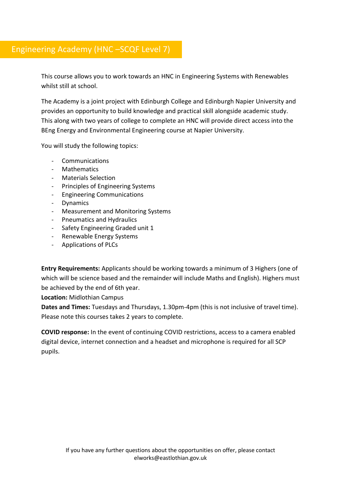## Engineering Academy (HNC –SCQF Level 7)

This course allows you to work towards an HNC in Engineering Systems with Renewables whilst still at school.

The Academy is a joint project with Edinburgh College and Edinburgh Napier University and provides an opportunity to build knowledge and practical skill alongside academic study. This along with two years of college to complete an HNC will provide direct access into the BEng Energy and Environmental Engineering course at Napier University.

You will study the following topics:

- Communications
- Mathematics
- Materials Selection
- Principles of Engineering Systems
- Engineering Communications
- Dynamics
- Measurement and Monitoring Systems
- Pneumatics and Hydraulics
- Safety Engineering Graded unit 1
- Renewable Energy Systems
- Applications of PLCs

**Entry Requirements:** Applicants should be working towards a minimum of 3 Highers (one of which will be science based and the remainder will include Maths and English). Highers must be achieved by the end of 6th year.

**Location:** Midlothian Campus

**Dates and Times:** Tuesdays and Thursdays, 1.30pm-4pm (this is not inclusive of travel time). Please note this courses takes 2 years to complete.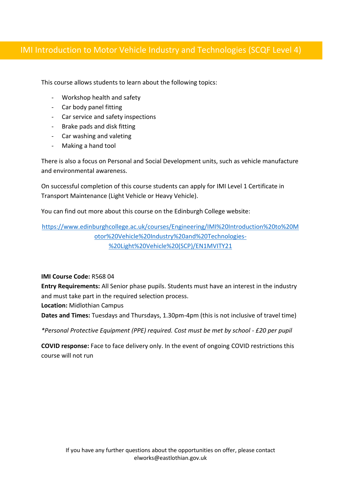## IMI Introduction to Motor Vehicle Industry and Technologies (SCQF Level 4)

This course allows students to learn about the following topics:

- Workshop health and safety
- Car body panel fitting
- Car service and safety inspections
- Brake pads and disk fitting
- Car washing and valeting
- Making a hand tool

There is also a focus on Personal and Social Development units, such as vehicle manufacture and environmental awareness.

On successful completion of this course students can apply for IMI Level 1 Certificate in Transport Maintenance (Light Vehicle or Heavy Vehicle).

You can find out more about this course on the Edinburgh College website:

[https://www.edinburghcollege.ac.uk/courses/Engineering/IMI%20Introduction%20to%20M](https://www.edinburghcollege.ac.uk/courses/Engineering/IMI%20Introduction%20to%20Motor%20Vehicle%20Industry%20and%20Technologies-%20Light%20Vehicle%20(SCP)/EN1MVITY21) [otor%20Vehicle%20Industry%20and%20Technologies-](https://www.edinburghcollege.ac.uk/courses/Engineering/IMI%20Introduction%20to%20Motor%20Vehicle%20Industry%20and%20Technologies-%20Light%20Vehicle%20(SCP)/EN1MVITY21) [%20Light%20Vehicle%20\(SCP\)/EN1MVITY21](https://www.edinburghcollege.ac.uk/courses/Engineering/IMI%20Introduction%20to%20Motor%20Vehicle%20Industry%20and%20Technologies-%20Light%20Vehicle%20(SCP)/EN1MVITY21)

#### **IMI Course Code:** R568 04

**Entry Requirements:** All Senior phase pupils. Students must have an interest in the industry and must take part in the required selection process.

**Location:** Midlothian Campus

**Dates and Times:** Tuesdays and Thursdays, 1.30pm-4pm (this is not inclusive of travel time)

*\*Personal Protective Equipment (PPE) required. Cost must be met by school - £20 per pupil*

**COVID response:** Face to face delivery only. In the event of ongoing COVID restrictions this course will not run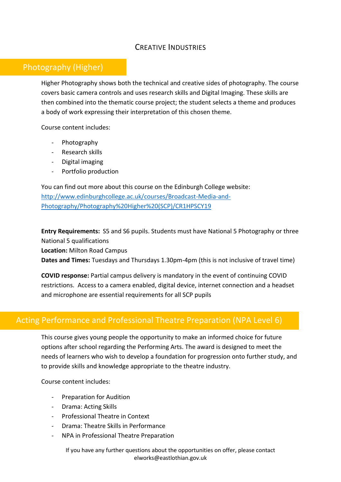#### CREATIVE INDUSTRIES

#### Photography (Higher)

Higher Photography shows both the technical and creative sides of photography. The course covers basic camera controls and uses research skills and Digital Imaging. These skills are then combined into the thematic course project; the student selects a theme and produces a body of work expressing their interpretation of this chosen theme.

Course content includes:

- Photography
- Research skills
- Digital imaging
- Portfolio production

You can find out more about this course on the Edinburgh College website: [http://www.edinburghcollege.ac.uk/courses/Broadcast-Media-and-](http://www.edinburghcollege.ac.uk/courses/Broadcast-Media-and-Photography/Photography%20Higher%20(SCP)/CR1HPSCY19)[Photography/Photography%20Higher%20\(SCP\)/CR1HPSCY19](http://www.edinburghcollege.ac.uk/courses/Broadcast-Media-and-Photography/Photography%20Higher%20(SCP)/CR1HPSCY19)

**Entry Requirements:** S5 and S6 pupils. Students must have National 5 Photography or three National 5 qualifications

**Location:** Milton Road Campus

**Dates and Times:** Tuesdays and Thursdays 1.30pm-4pm (this is not inclusive of travel time)

**COVID response:** Partial campus delivery is mandatory in the event of continuing COVID restrictions. Access to a camera enabled, digital device, internet connection and a headset and microphone are essential requirements for all SCP pupils

## Acting Performance and Professional Theatre Preparation (NPA Level 6)

This course gives young people the opportunity to make an informed choice for future options after school regarding the Performing Arts. The award is designed to meet the needs of learners who wish to develop a foundation for progression onto further study, and to provide skills and knowledge appropriate to the theatre industry.

Course content includes:

- Preparation for Audition
- Drama: Acting Skills
- Professional Theatre in Context
- Drama: Theatre Skills in Performance
- NPA in Professional Theatre Preparation

If you have any further questions about the opportunities on offer, please contact elworks@eastlothian.gov.uk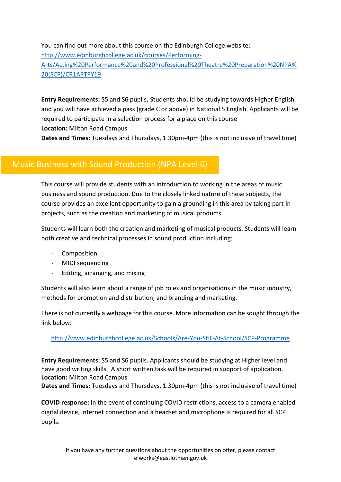You can find out more about this course on the Edinburgh College website: [http://www.edinburghcollege.ac.uk/courses/Performing-](http://www.edinburghcollege.ac.uk/courses/Performing-Arts/Acting%20Performance%20and%20Professional%20Theatre%20Preparation%20NPA%20(SCP)/CR1APTPY19)[Arts/Acting%20Performance%20and%20Professional%20Theatre%20Preparation%20NPA%](http://www.edinburghcollege.ac.uk/courses/Performing-Arts/Acting%20Performance%20and%20Professional%20Theatre%20Preparation%20NPA%20(SCP)/CR1APTPY19) [20\(SCP\)/CR1APTPY19](http://www.edinburghcollege.ac.uk/courses/Performing-Arts/Acting%20Performance%20and%20Professional%20Theatre%20Preparation%20NPA%20(SCP)/CR1APTPY19)

**Entry Requirements:** S5 and S6 pupils**.** Students should be studying towards Higher English and you will have achieved a pass (grade C or above) in National 5 English. Applicants will be required to participate in a selection process for a place on this course **Location:** Milton Road Campus

**Dates and Times:** Tuesdays and Thursdays, 1.30pm-4pm (this is not inclusive of travel time)

## Music Business with Sound Production (NPA Level 6)

This course will provide students with an introduction to working in the areas of music business and sound production. Due to the closely linked nature of these subjects, the course provides an excellent opportunity to gain a grounding in this area by taking part in projects, such as the creation and marketing of musical products.

Students will learn both the creation and marketing of musical products. Students will learn both creative and technical processes in sound production including:

- Composition
- MIDI sequencing
- Editing, arranging, and mixing

Students will also learn about a range of job roles and organisations in the music industry, methods for promotion and distribution, and branding and marketing.

There is not currently a webpage for this course. More information can be sought through the link below:

#### <http://www.edinburghcollege.ac.uk/Schools/Are-You-Still-At-School/SCP-Programme>

**Entry Requirements:** S5 and S6 pupils. Applicants should be studying at Higher level and have good writing skills. A short written task will be required in support of application. **Location:** Milton Road Campus

**Dates and Times:** Tuesdays and Thursdays, 1.30pm-4pm (this is not inclusive of travel time)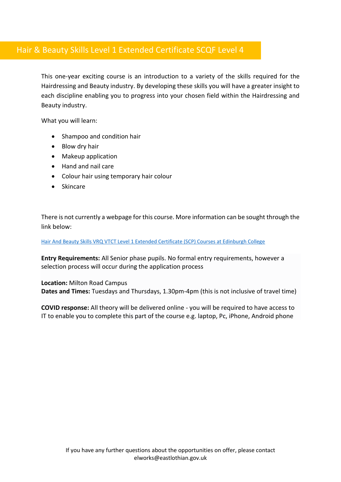## Hair & Beauty Skills Level 1 Extended Certificate SCQF Level 4

This one-year exciting course is an introduction to a variety of the skills required for the Hairdressing and Beauty industry. By developing these skills you will have a greater insight to each discipline enabling you to progress into your chosen field within the Hairdressing and Beauty industry.

What you will learn:

- Shampoo and condition hair
- Blow dry hair
- Makeup application
- Hand and nail care
- Colour hair using temporary hair colour
- Skincare

There is not currently a webpage for this course. More information can be sought through the link below:

[Hair And Beauty Skills VRQ VTCT Level 1 Extended Certificate \(SCP\) Courses at Edinburgh College](https://www.edinburghcollege.ac.uk/courses/Hair-and-Beauty/Hair%20and%20Beauty%20Skills%20VRQ%20VTCT%20Level%201%20Extended%20Certificate%20(SCP)/TH1ECHBY21)

**Entry Requirements:** All Senior phase pupils. No formal entry requirements, however a selection process will occur during the application process

**Location:** Milton Road Campus **Dates and Times:** Tuesdays and Thursdays, 1.30pm-4pm (this is not inclusive of travel time)

**COVID response:** All theory will be delivered online - you will be required to have access to IT to enable you to complete this part of the course e.g. laptop, Pc, iPhone, Android phone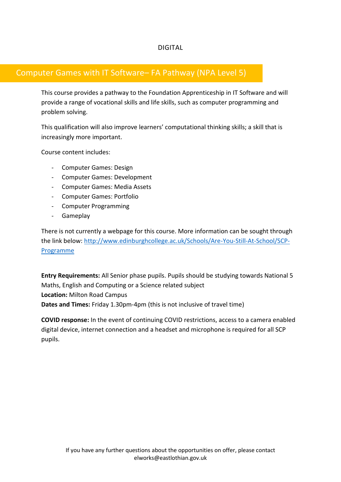#### DIGITAL

### Computer Games with IT Software– FA Pathway (NPA Level 5)

This course provides a pathway to the Foundation Apprenticeship in IT Software and will provide a range of vocational skills and life skills, such as computer programming and problem solving.

This qualification will also improve learners' computational thinking skills; a skill that is increasingly more important.

Course content includes:

- Computer Games: Design
- Computer Games: Development
- Computer Games: Media Assets
- Computer Games: Portfolio
- Computer Programming
- Gameplay

There is not currently a webpage for this course. More information can be sought through the link below: [http://www.edinburghcollege.ac.uk/Schools/Are-You-Still-At-School/SCP-](http://www.edinburghcollege.ac.uk/Schools/Are-You-Still-At-School/SCP-Programme)[Programme](http://www.edinburghcollege.ac.uk/Schools/Are-You-Still-At-School/SCP-Programme)

**Entry Requirements:** All Senior phase pupils. Pupils should be studying towards National 5 Maths, English and Computing or a Science related subject **Location:** Milton Road Campus **Dates and Times:** Friday 1.30pm-4pm (this is not inclusive of travel time)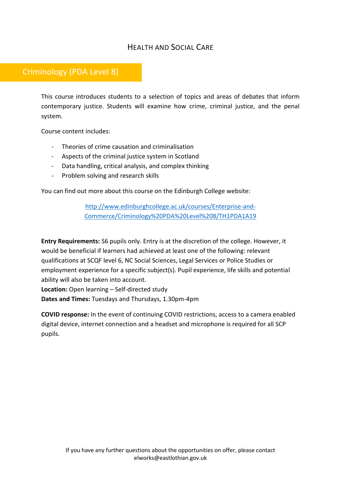## HEALTH AND SOCIAL CARE

## Criminology (PDA Level 8)

This course introduces students to a selection of topics and areas of debates that inform contemporary justice. Students will examine how crime, criminal justice, and the penal system.

Course content includes:

- Theories of crime causation and criminalisation
- Aspects of the criminal justice system in Scotland
- Data handling, critical analysis, and complex thinking
- Problem solving and research skills

You can find out more about this course on the Edinburgh College website:

[http://www.edinburghcollege.ac.uk/courses/Enterprise-and-](http://www.edinburghcollege.ac.uk/courses/Enterprise-and-Commerce/Criminology%20PDA%20Level%208/TH1PDA1A19)[Commerce/Criminology%20PDA%20Level%208/TH1PDA1A19](http://www.edinburghcollege.ac.uk/courses/Enterprise-and-Commerce/Criminology%20PDA%20Level%208/TH1PDA1A19)

**Entry Requirements:** S6 pupils only. Entry is at the discretion of the college. However, it would be beneficial if learners had achieved at least one of the following: relevant qualifications at SCQF level 6, NC Social Sciences, Legal Services or Police Studies or employment experience for a specific subject(s). Pupil experience, life skills and potential ability will also be taken into account.

**Location:** Open learning – Self-directed study

**Dates and Times:** Tuesdays and Thursdays, 1.30pm-4pm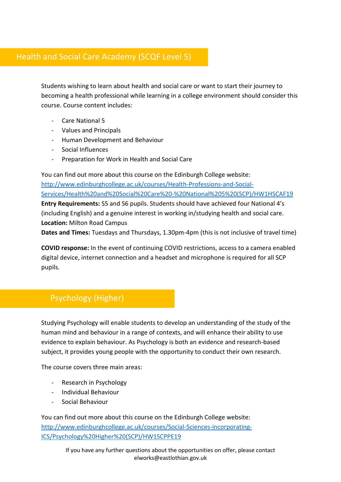## Health and Social Care Academy (SCQF Level 5)

Students wishing to learn about health and social care or want to start their journey to becoming a health professional while learning in a college environment should consider this course. Course content includes:

- Care National 5
- Values and Principals
- Human Development and Behaviour
- Social Influences
- Preparation for Work in Health and Social Care

You can find out more about this course on the Edinburgh College website: [http://www.edinburghcollege.ac.uk/courses/Health-Professions-and-Social-](http://www.edinburghcollege.ac.uk/courses/Health-Professions-and-Social-Services/Health%20and%20Social%20Care%20-%20National%205%20(SCP)/HW1HSCAF19)[Services/Health%20and%20Social%20Care%20-%20National%205%20\(SCP\)/HW1HSCAF19](http://www.edinburghcollege.ac.uk/courses/Health-Professions-and-Social-Services/Health%20and%20Social%20Care%20-%20National%205%20(SCP)/HW1HSCAF19) **Entry Requirements:** S5 and S6 pupils. Students should have achieved four National 4's (including English) and a genuine interest in working in/studying health and social care. **Location:** Milton Road Campus

**Dates and Times:** Tuesdays and Thursdays, 1.30pm-4pm (this is not inclusive of travel time)

**COVID response:** In the event of continuing COVID restrictions, access to a camera enabled digital device, internet connection and a headset and microphone is required for all SCP pupils.

## Psychology (Higher)

Studying Psychology will enable students to develop an understanding of the study of the human mind and behaviour in a range of contexts, and will enhance their ability to use evidence to explain behaviour. As Psychology is both an evidence and research-based subject, it provides young people with the opportunity to conduct their own research.

The course covers three main areas:

- Research in Psychology
- Individual Behaviour
- Social Behaviour

You can find out more about this course on the Edinburgh College website: [http://www.edinburghcollege.ac.uk/courses/Social-Sciences-incorporating-](http://www.edinburghcollege.ac.uk/courses/Social-Sciences-incorporating-ICS/Psychology%20Higher%20(SCP)/HW1SCPPE19)[ICS/Psychology%20Higher%20\(SCP\)/HW1SCPPE19](http://www.edinburghcollege.ac.uk/courses/Social-Sciences-incorporating-ICS/Psychology%20Higher%20(SCP)/HW1SCPPE19)

> If you have any further questions about the opportunities on offer, please contact elworks@eastlothian.gov.uk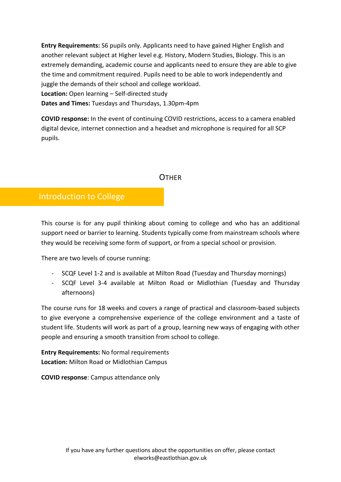**Entry Requirements:** S6 pupils only. Applicants need to have gained Higher English and another relevant subject at Higher level e.g. History, Modern Studies, Biology. This is an extremely demanding, academic course and applicants need to ensure they are able to give the time and commitment required. Pupils need to be able to work independently and juggle the demands of their school and college workload. **Location:** Open learning – Self-directed study **Dates and Times:** Tuesdays and Thursdays, 1.30pm-4pm

**COVID response:** In the event of continuing COVID restrictions, access to a camera enabled digital device, internet connection and a headset and microphone is required for all SCP pupils.

#### **OTHER**

#### Introduction to College

This course is for any pupil thinking about coming to college and who has an additional support need or barrier to learning. Students typically come from mainstream schools where they would be receiving some form of support, or from a special school or provision.

There are two levels of course running:

- SCQF Level 1-2 and is available at Milton Road (Tuesday and Thursday mornings)
- SCQF Level 3-4 available at Milton Road or Midlothian (Tuesday and Thursday afternoons)

The course runs for 18 weeks and covers a range of practical and classroom-based subjects to give everyone a comprehensive experience of the college environment and a taste of student life. Students will work as part of a group, learning new ways of engaging with other people and ensuring a smooth transition from school to college.

**Entry Requirements:** No formal requirements **Location:** Milton Road or Midlothian Campus

**COVID response**: Campus attendance only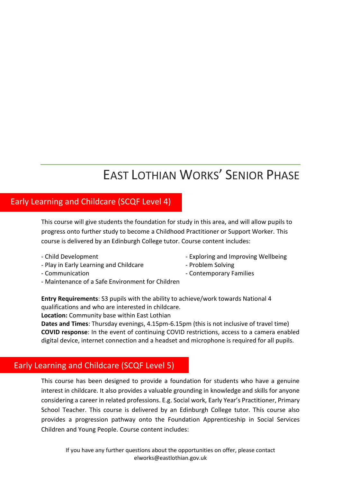## EAST LOTHIAN WORKS' SENIOR PHASE

#### Early Learning and Childcare (SCQF Level 4)

This course will give students the foundation for study in this area, and will allow pupils to progress onto further study to become a Childhood Practitioner or Support Worker. This course is delivered by an Edinburgh College tutor. Course content includes:

- 
- Play in Early Learning and Childcare  **Problem Solving**
- 
- Maintenance of a Safe Environment for Children
- Child Development  **Exploring and Improving Wellbeing** 
	-
- Communication  **Contemporary Families**

**Entry Requirements**: S3 pupils with the ability to achieve/work towards National 4 qualifications and who are interested in childcare.

**Location:** Community base within East Lothian

**Dates and Times**: Thursday evenings, 4.15pm-6.15pm (this is not inclusive of travel time) **COVID response**: In the event of continuing COVID restrictions, access to a camera enabled digital device, internet connection and a headset and microphone is required for all pupils.

## Early Learning and Childcare (SCQF Level 5)

This course has been designed to provide a foundation for students who have a genuine interest in childcare. It also provides a valuable grounding in knowledge and skills for anyone considering a career in related professions. E.g. Social work, Early Year's Practitioner, Primary School Teacher. This course is delivered by an Edinburgh College tutor. This course also provides a progression pathway onto the Foundation Apprenticeship in Social Services Children and Young People. Course content includes: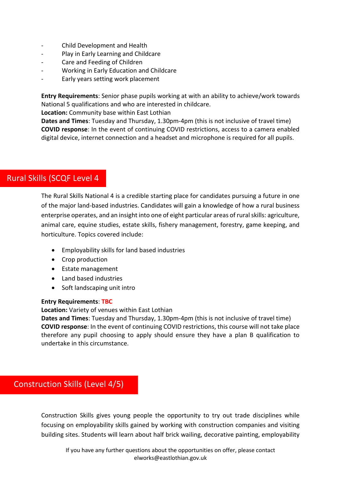- Child Development and Health
- Play in Early Learning and Childcare
- Care and Feeding of Children
- Working in Early Education and Childcare
- Early years setting work placement

**Entry Requirements**: Senior phase pupils working at with an ability to achieve/work towards National 5 qualifications and who are interested in childcare.

**Location:** Community base within East Lothian

**Dates and Times**: Tuesday and Thursday, 1.30pm-4pm (this is not inclusive of travel time) **COVID response**: In the event of continuing COVID restrictions, access to a camera enabled digital device, internet connection and a headset and microphone is required for all pupils.

#### Rural Skills (SCQF Level 4

The Rural Skills National 4 is a credible starting place for candidates pursuing a future in one of the major land-based industries. Candidates will gain a knowledge of how a rural business enterprise operates, and an insight into one of eight particular areas of rural skills: agriculture, animal care, equine studies, estate skills, fishery management, forestry, game keeping, and horticulture. Topics covered include:

- Employability skills for land based industries
- Crop production
- Estate management
- Land based industries
- Soft landscaping unit intro

#### **Entry Requirements**: **TBC**

**Location:** Variety of venues within East Lothian

**Dates and Times**: Tuesday and Thursday, 1.30pm-4pm (this is not inclusive of travel time) **COVID response**: In the event of continuing COVID restrictions, this course will not take place therefore any pupil choosing to apply should ensure they have a plan B qualification to undertake in this circumstance.

#### Construction Skills (Level 4/5)

Construction Skills gives young people the opportunity to try out trade disciplines while focusing on employability skills gained by working with construction companies and visiting building sites. Students will learn about half brick wailing, decorative painting, employability